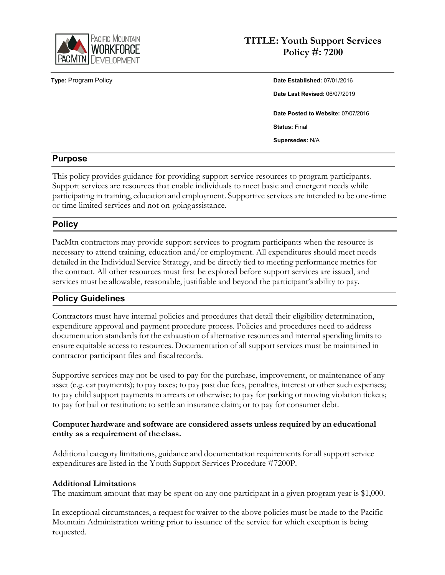

# **TITLE: Youth Support Services Policy #: 7200**

**Type:** Program Policy **Date Established:** 07/01/2016 **Date Last Revised:** 06/07/2019 **Date Posted to Website:** 07/07/2016 **Status:** Final **Supersedes:** N/A

## **Purpose**

This policy provides guidance for providing support service resources to program participants. Support services are resources that enable individuals to meet basic and emergent needs while participating in training, education and employment. Supportive services are intended to be one-time or time limited services and not on-goingassistance.

## **Policy**

PacMtn contractors may provide support services to program participants when the resource is necessary to attend training, education and/or employment. All expenditures should meet needs detailed in the Individual Service Strategy, and be directly tied to meeting performance metrics for the contract. All other resources must first be explored before support services are issued, and services must be allowable, reasonable, justifiable and beyond the participant's ability to pay.

# **Policy Guidelines**

Contractors must have internal policies and procedures that detail their eligibility determination, expenditure approval and payment procedure process. Policies and procedures need to address documentation standards for the exhaustion of alternative resources and internal spending limits to ensure equitable access to resources. Documentation of all support services must be maintained in contractor participant files and fiscalrecords.

Supportive services may not be used to pay for the purchase, improvement, or maintenance of any asset (e.g. car payments); to pay taxes; to pay past due fees, penalties, interest or other such expenses; to pay child support payments in arrears or otherwise; to pay for parking or moving violation tickets; to pay for bail or restitution; to settle an insurance claim; or to pay for consumer debt.

#### **Computer hardware and software are considered assets unless required by an educational entity as a requirement of the class.**

Additional category limitations, guidance and documentation requirementsfor all support service expenditures are listed in the Youth Support Services Procedure #7200P.

#### **Additional Limitations**

The maximum amount that may be spent on any one participant in a given program year is \$1,000.

In exceptional circumstances, a request for waiver to the above policies must be made to the Pacific Mountain Administration writing prior to issuance of the service for which exception is being requested.